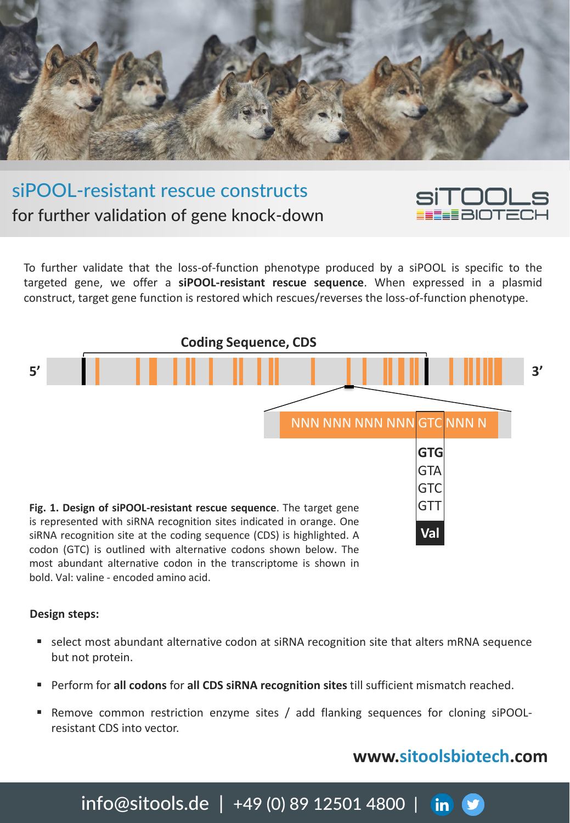

# siPOOL-resistant rescue constructs for further validation of gene knock-down

To further validate that the loss-of-function phenotype produced by a siPOOL is specific to the targeted gene, we offer a **siPOOL-resistant rescue sequence**. When expressed in a plasmid construct, target gene function is restored which rescues/reverses the loss-of-function phenotype.



codon (GTC) is outlined with alternative codons shown below. The most abundant alternative codon in the transcriptome is shown in bold. Val: valine - encoded amino acid.

#### **Design steps:**

- select most abundant alternative codon at siRNA recognition site that alters mRNA sequence but not protein.
- Perform for **all codons** for **all CDS siRNA recognition sites** till sufficient mismatch reached.
- Remove common restriction enzyme sites / add flanking sequences for cloning siPOOLresistant CDS into vector.

## **[www.sitoolsbiotech.com](http://www.sitoolsbiotech.com/)**

SİTOOLS U LUULL<br>EEBIOTECH